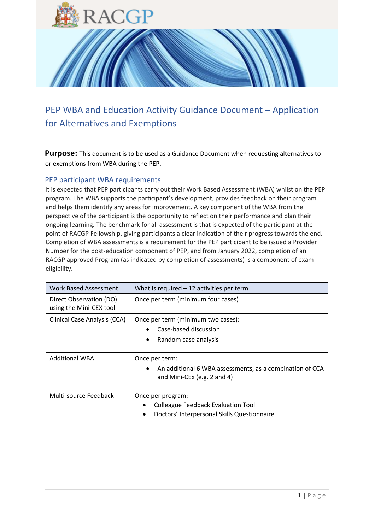

# PEP WBA and Education Activity Guidance Document – Application for Alternatives and Exemptions

**Purpose:** This document is to be used as a Guidance Document when requesting alternatives to or exemptions from WBA during the PEP.

# PEP participant WBA requirements:

It is expected that PEP participants carry out their Work Based Assessment (WBA) whilst on the PEP program. The WBA supports the participant's development, provides feedback on their program and helps them identify any areas for improvement. A key component of the WBA from the perspective of the participant is the opportunity to reflect on their performance and plan their ongoing learning. The benchmark for all assessment is that is expected of the participant at the point of RACGP Fellowship, giving participants a clear indication of their progress towards the end. Completion of WBA assessments is a requirement for the PEP participant to be issued a Provider Number for the post-education component of PEP, and from January 2022, completion of an RACGP approved Program (as indicated by completion of assessments) is a component of exam eligibility.

| <b>Work Based Assessment</b>                       | What is required $-12$ activities per term                                              |
|----------------------------------------------------|-----------------------------------------------------------------------------------------|
| Direct Observation (DO)<br>using the Mini-CEX tool | Once per term (minimum four cases)                                                      |
| Clinical Case Analysis (CCA)                       | Once per term (minimum two cases):                                                      |
|                                                    | Case-based discussion                                                                   |
|                                                    | Random case analysis                                                                    |
| <b>Additional WBA</b>                              | Once per term:                                                                          |
|                                                    | An additional 6 WBA assessments, as a combination of CCA<br>and Mini-CEx (e.g. 2 and 4) |
| Multi-source Feedback                              | Once per program:                                                                       |
|                                                    | <b>Colleague Feedback Evaluation Tool</b>                                               |
|                                                    | Doctors' Interpersonal Skills Questionnaire                                             |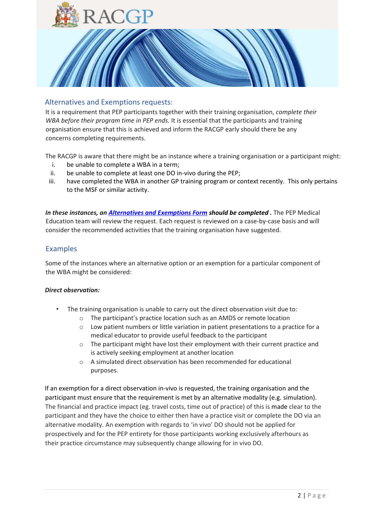

# Alternatives and Exemptions requests:

It is a requirement that PEP participants together with their training organisation, *complete their WBA before their program time in PEP ends.* It is essential that the participants and training organisation ensure that this is achieved and inform the RACGP early should there be any concerns completing requirements.

The RACGP is aware that there might be an instance where a training organisation or a participant might:

- i. be unable to complete a WBA in a term;
- ii. be unable to complete at least one DO in-vivo during the PEP;
- iii. have completed the WBA in another GP training program or context recently. This only pertains to the MSF or similar activity.

*In these instances, an [Alternatives and Exemptions Form](https://racgp.au1.qualtrics.com/jfe/form/SV_82CrJUwDAXNVrFz) should be completed [.](https://racgp.au1.qualtrics.com/jfe/form/SV_82CrJUwDAXNVrFz)* The PEP Medical Education team will review the request. Each request is reviewed on a case-by-case basis and will consider the recommended activities that the training organisation have suggested.

### Examples

Some of the instances where an alternative option or an exemption for a particular component of the WBA might be considered:

#### *Direct observation:*

- The training organisation is unable to carry out the direct observation visit due to:
	- o The participant's practice location such as an AMDS or remote location
	- o Low patient numbers or little variation in patient presentations to a practice for a medical educator to provide useful feedback to the participant
	- $\circ$  The participant might have lost their employment with their current practice and is actively seeking employment at another location
	- o A simulated direct observation has been recommended for educational purposes.

If an exemption for a direct observation in-vivo is requested, the training organisation and the participant must ensure that the requirement is met by an alternative modality (e.g. simulation). The financial and practice impact (eg. travel costs, time out of practice) of this is made clear to the participant and they have the choice to either then have a practice visit or complete the DO via an alternative modality. An exemption with regards to 'in vivo' DO should not be applied for prospectively and for the PEP entirety for those participants working exclusively afterhours as their practice circumstance may subsequently change allowing for in vivo DO.